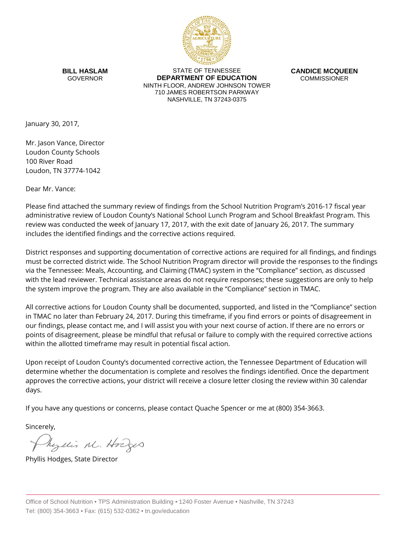

**BILL HASLAM** GOVERNOR

STATE OF TENNESSEE **DEPARTMENT OF EDUCATION** NINTH FLOOR, ANDREW JOHNSON TOWER 710 JAMES ROBERTSON PARKWAY NASHVILLE, TN 37243-0375

**CANDICE MCQUEEN** COMMISSIONER

January 30, 2017,

Mr. Jason Vance, Director Loudon County Schools 100 River Road Loudon, TN 37774-1042

Dear Mr. Vance:

Please find attached the summary review of findings from the School Nutrition Program's 2016-17 fiscal year administrative review of Loudon County's National School Lunch Program and School Breakfast Program. This review was conducted the week of January 17, 2017, with the exit date of January 26, 2017. The summary includes the identified findings and the corrective actions required.

District responses and supporting documentation of corrective actions are required for all findings, and findings must be corrected district wide. The School Nutrition Program director will provide the responses to the findings via the Tennessee: Meals, Accounting, and Claiming (TMAC) system in the "Compliance" section, as discussed with the lead reviewer. Technical assistance areas do not require responses; these suggestions are only to help the system improve the program. They are also available in the "Compliance" section in TMAC.

All corrective actions for Loudon County shall be documented, supported, and listed in the "Compliance" section in TMAC no later than February 24, 2017. During this timeframe, if you find errors or points of disagreement in our findings, please contact me, and I will assist you with your next course of action. If there are no errors or points of disagreement, please be mindful that refusal or failure to comply with the required corrective actions within the allotted timeframe may result in potential fiscal action.

Upon receipt of Loudon County's documented corrective action, the Tennessee Department of Education will determine whether the documentation is complete and resolves the findings identified. Once the department approves the corrective actions, your district will receive a closure letter closing the review within 30 calendar days.

If you have any questions or concerns, please contact Quache Spencer or me at (800) 354-3663.

Sincerely,

Myllis M. Hodges

Phyllis Hodges, State Director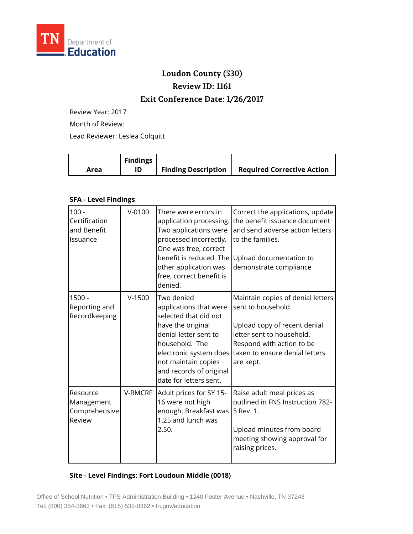

# **Loudon County (530) Review ID: 1161**

## **Exit Conference Date: 1/26/2017**

Review Year: 2017

Month of Review:

Lead Reviewer: Leslea Colquitt

|      | <b>Findings</b> |                            |                                   |
|------|-----------------|----------------------------|-----------------------------------|
| Area |                 | <b>Finding Description</b> | <b>Required Corrective Action</b> |

#### **SFA - Level Findings**

| $100 -$<br>Certification<br>and Benefit<br>Issuance | $V - 0100$ | There were errors in<br>application processing.<br>Two applications were<br>processed incorrectly.<br>One was free, correct<br>benefit is reduced. The<br>other application was<br>free, correct benefit is<br>denied.              | Correct the applications, update<br>the benefit issuance document<br>and send adverse action letters<br>to the families.<br>Upload documentation to<br>demonstrate compliance                    |
|-----------------------------------------------------|------------|-------------------------------------------------------------------------------------------------------------------------------------------------------------------------------------------------------------------------------------|--------------------------------------------------------------------------------------------------------------------------------------------------------------------------------------------------|
| $1500 -$<br>Reporting and<br>Recordkeeping          | $V-1500$   | Two denied<br>applications that were<br>selected that did not<br>have the original<br>denial letter sent to<br>household. The<br>electronic system does<br>not maintain copies<br>and records of original<br>date for letters sent. | Maintain copies of denial letters<br>sent to household.<br>Upload copy of recent denial<br>letter sent to household.<br>Respond with action to be<br>taken to ensure denial letters<br>are kept. |
| Resource<br>Management<br>Comprehensive<br>Review   | V-RMCRF    | Adult prices for SY 15-<br>16 were not high<br>enough. Breakfast was<br>1.25 and lunch was<br>2.50.                                                                                                                                 | Raise adult meal prices as<br>outlined in FNS Instruction 782-<br>5 Rev. 1.<br>Upload minutes from board<br>meeting showing approval for<br>raising prices.                                      |

#### **Site - Level Findings: Fort Loudoun Middle (0018)**